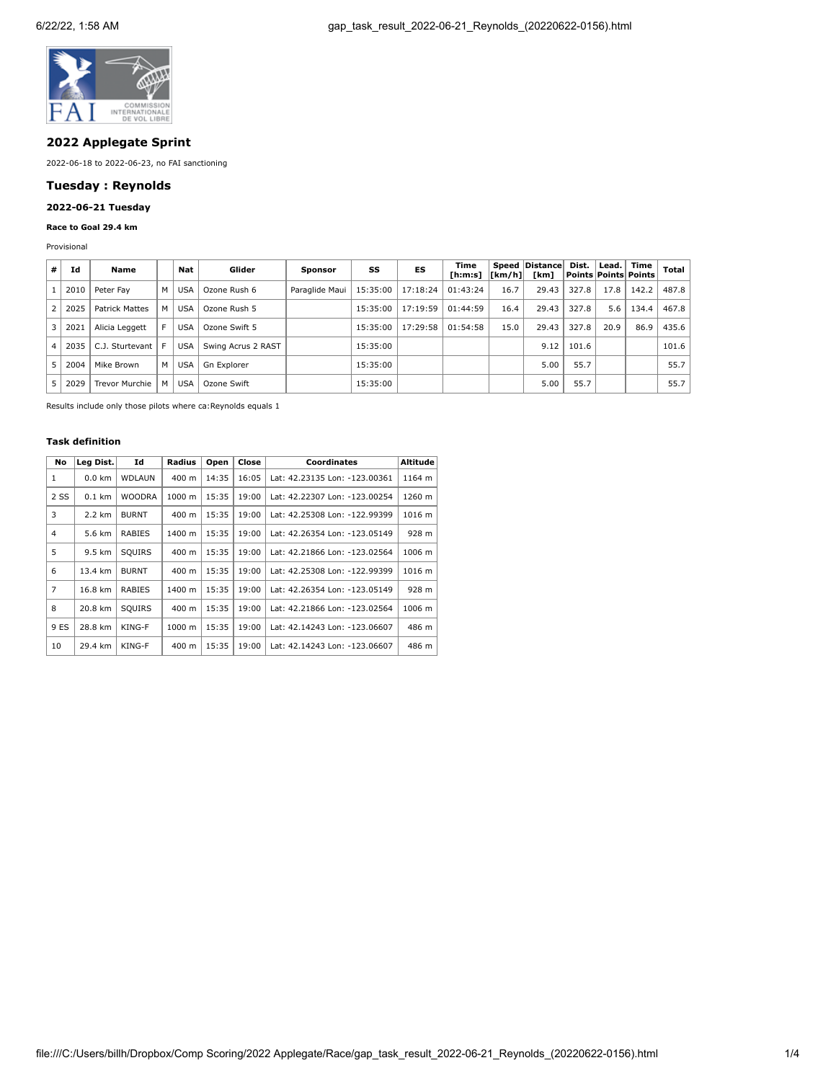

## **2022 Applegate Sprint**

2022-06-18 to 2022-06-23, no FAI sanctioning

## **Tuesday : Reynolds**

# **2022-06-21 Tuesday**

## **Race to Goal 29.4 km**

Provisional

| #              | Id   | Name                  |   | Nat        | Glider             | <b>Sponsor</b> | SS       | ES       | Time<br>[ h: m: s] | [Km/h] | Speed Distance<br>[km] | Dist. |      | Lead.   Time<br>Points Points Points | <b>Total</b> |
|----------------|------|-----------------------|---|------------|--------------------|----------------|----------|----------|--------------------|--------|------------------------|-------|------|--------------------------------------|--------------|
|                | 2010 | Peter Fav             | м | <b>USA</b> | Ozone Rush 6       | Paraglide Maui | 15:35:00 | 17:18:24 | 01:43:24           | 16.7   | 29.43                  | 327.8 | 17.8 | 142.2                                | 487.8        |
| 2              | 2025 | <b>Patrick Mattes</b> | м | <b>USA</b> | Ozone Rush 5       |                | 15:35:00 | 17:19:59 | 01:44:59           | 16.4   | 29.43                  | 327.8 | 5.6  | 134.4                                | 467.8        |
| 3              | 2021 | Alicia Leggett        |   | <b>USA</b> | Ozone Swift 5      |                | 15:35:00 | 17:29:58 | 01:54:58           | 15.0   | 29.43                  | 327.8 | 20.9 | 86.9                                 | 435.6        |
| $\overline{4}$ | 2035 | C.J. Sturtevant       |   | <b>USA</b> | Swing Acrus 2 RAST |                | 15:35:00 |          |                    |        | 9.12                   | 101.6 |      |                                      | 101.6        |
| 5              | 2004 | Mike Brown            | М | <b>USA</b> | Gn Explorer        |                | 15:35:00 |          |                    |        | 5.00                   | 55.7  |      |                                      | 55.7         |
| 5              | 2029 | <b>Trevor Murchie</b> | м | <b>USA</b> | Ozone Swift        |                | 15:35:00 |          |                    |        | 5.00                   | 55.7  |      |                                      | 55.7         |

Results include only those pilots where ca:Reynolds equals 1

## **Task definition**

| No   | Lea Dist. | Id            | Radius | Open  | Close | <b>Coordinates</b>            | Altitude |
|------|-----------|---------------|--------|-------|-------|-------------------------------|----------|
| 1    | $0.0$ km  | <b>WDLAUN</b> | 400 m  | 14:35 | 16:05 | Lat: 42.23135 Lon: -123.00361 | 1164 m   |
| 2 SS | $0.1$ km  | <b>WOODRA</b> | 1000 m | 15:35 | 19:00 | Lat: 42.22307 Lon: -123.00254 | 1260 m   |
| 3    | 2.2 km    | <b>BURNT</b>  | 400 m  | 15:35 | 19:00 | Lat: 42.25308 Lon: -122.99399 | 1016 m   |
| 4    | 5.6 km    | <b>RABIES</b> | 1400 m | 15:35 | 19:00 | Lat: 42.26354 Lon: -123.05149 | 928 m    |
| 5    | 9.5 km    | SQUIRS        | 400 m  | 15:35 | 19:00 | Lat: 42.21866 Lon: -123.02564 | 1006 m   |
| 6    | 13.4 km   | <b>BURNT</b>  | 400 m  | 15:35 | 19:00 | Lat: 42.25308 Lon: -122.99399 | 1016 m   |
| 7    | 16.8 km   | RABIES        | 1400 m | 15:35 | 19:00 | Lat: 42.26354 Lon: -123.05149 | 928 m    |
| 8    | 20.8 km   | SQUIRS        | 400 m  | 15:35 | 19:00 | Lat: 42.21866 Lon: -123.02564 | 1006 m   |
| 9 ES | 28.8 km   | KING-F        | 1000 m | 15:35 | 19:00 | Lat: 42.14243 Lon: -123.06607 | 486 m    |
| 10   | 29.4 km   | KING-F        | 400 m  | 15:35 | 19:00 | Lat: 42.14243 Lon: -123.06607 | 486 m    |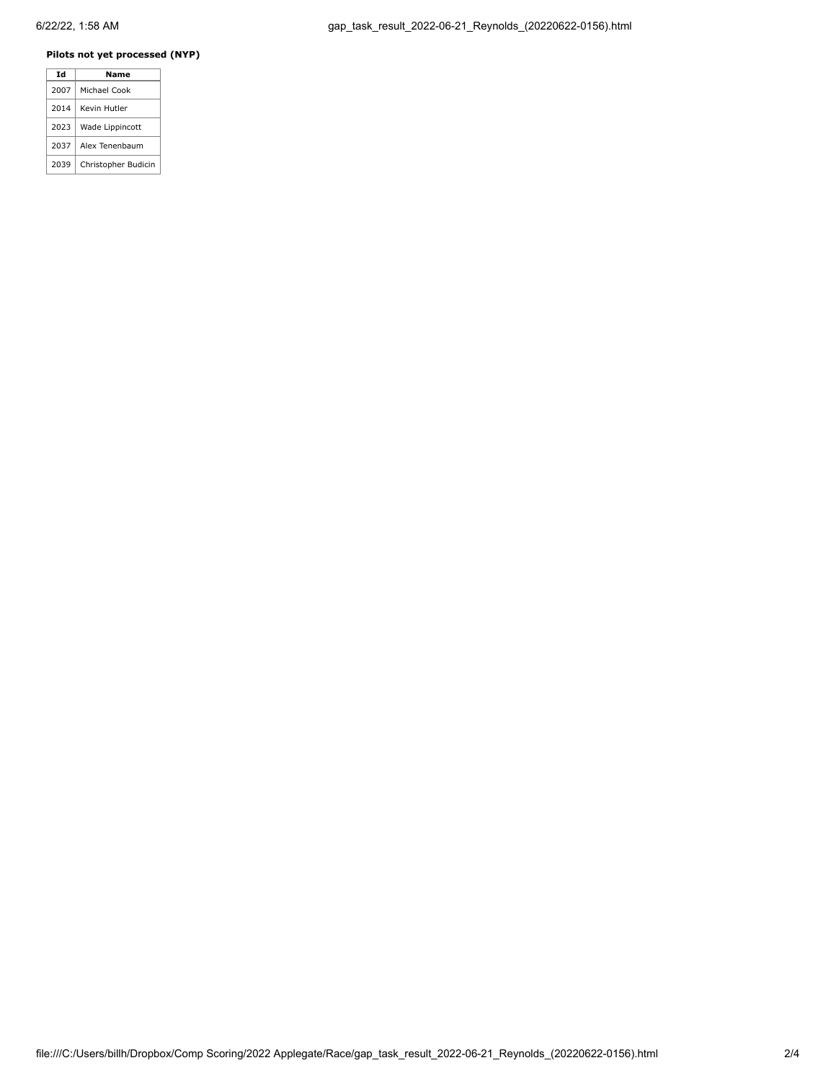### **Pilots not yet processed (NYP)**

|  | Td   | Name                |
|--|------|---------------------|
|  | 2007 | Michael Cook        |
|  | 2014 | Kevin Hutler        |
|  | 2023 | Wade Lippincott     |
|  | 2037 | Alex Tenenbaum      |
|  | 2039 | Christopher Budicin |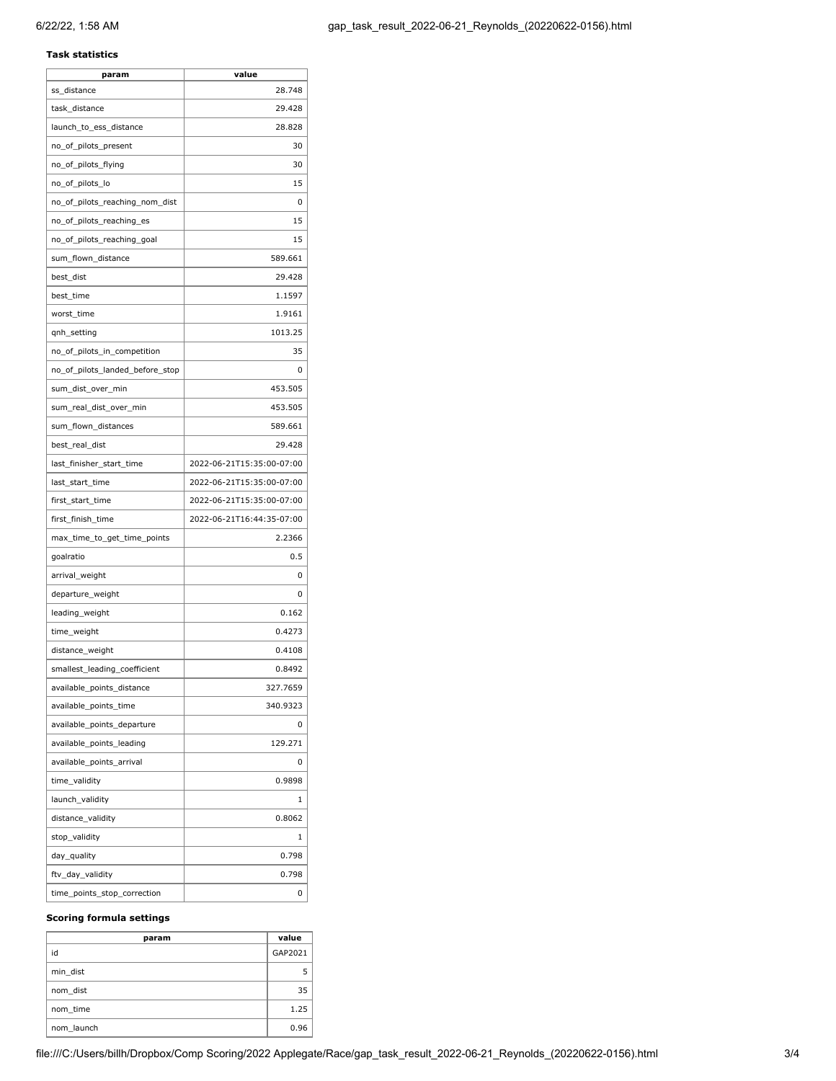#### **Task statistics**

| param                           | value                     |
|---------------------------------|---------------------------|
| ss_distance                     | 28.748                    |
| task distance                   | 29.428                    |
| launch_to_ess_distance          | 28.828                    |
| no_of_pilots_present            | 30                        |
| no_of_pilots_flying             | 30                        |
| no_of_pilots_lo                 | 15                        |
| no_of_pilots_reaching_nom_dist  | 0                         |
| no_of_pilots_reaching_es        | 15                        |
| no_of_pilots_reaching_goal      | 15                        |
| sum_flown_distance              | 589.661                   |
| best_dist                       | 29.428                    |
| best_time                       | 1.1597                    |
| worst_time                      | 1.9161                    |
| qnh_setting                     | 1013.25                   |
| no_of_pilots_in_competition     | 35                        |
| no_of_pilots_landed_before_stop | 0                         |
| sum_dist_over_min               | 453.505                   |
| sum real dist over min          | 453.505                   |
| sum_flown_distances             | 589.661                   |
| best_real_dist                  | 29.428                    |
| last_finisher_start_time        | 2022-06-21T15:35:00-07:00 |
| last_start_time                 | 2022-06-21T15:35:00-07:00 |
| first_start_time                | 2022-06-21T15:35:00-07:00 |
| first_finish_time               | 2022-06-21T16:44:35-07:00 |
| max_time_to_get_time_points     | 2.2366                    |
| goalratio                       | 0.5                       |
| arrival_weight                  | 0                         |
| departure_weight                | 0                         |
| leading_weight                  | 0.162                     |
| time_weight                     | 0.4273                    |
| distance_weight                 | 0.4108                    |
| smallest_leading_coefficient    | 0.8492                    |
| available_points_distance       | 327.7659                  |
| available_points_time           | 340.9323                  |
| available points departure      | 0                         |
| available_points_leading        | 129.271                   |
| available_points_arrival        | 0                         |
| time_validity                   | 0.9898                    |
| launch_validity                 | 1                         |
| distance_validity               | 0.8062                    |
| stop_validity                   | 1                         |
| day_quality                     | 0.798                     |
| ftv_day_validity                | 0.798                     |
| time_points_stop_correction     | 0                         |

#### **Scoring formula settings**

| param      | value   |
|------------|---------|
| id         | GAP2021 |
| min dist   | 5       |
| nom dist   | 35      |
| nom time   | 1.25    |
| nom launch | 0.96    |